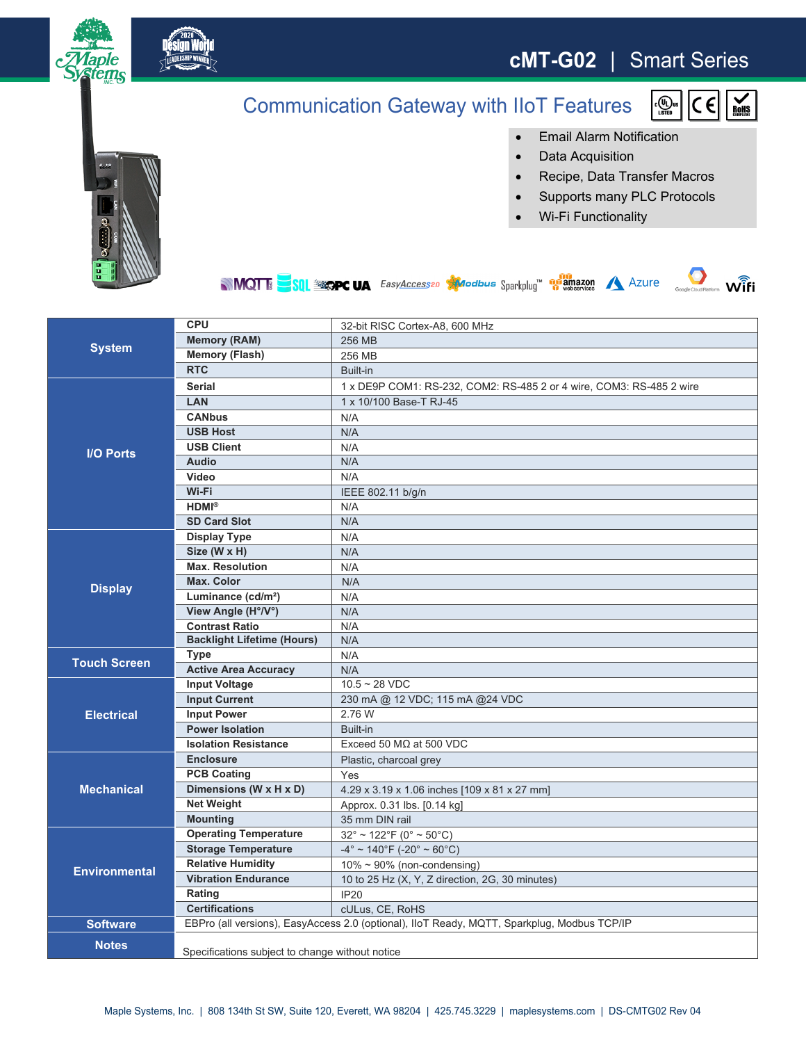

## **cMT-G02** | Smart Series

c(ID us<br>LISTED

CE

## Communication Gateway with IIoT Features



- Data Acquisition
- Recipe, Data Transfer Macros
- Supports many PLC Protocols
- Wi-Fi Functionality





RoHS

|                      | <b>CPU</b>                                                                                  | 32-bit RISC Cortex-A8, 600 MHz                                       |
|----------------------|---------------------------------------------------------------------------------------------|----------------------------------------------------------------------|
| <b>System</b>        | <b>Memory (RAM)</b>                                                                         | 256 MB                                                               |
|                      | <b>Memory (Flash)</b>                                                                       | 256 MB                                                               |
|                      | <b>RTC</b>                                                                                  | Built-in                                                             |
| <b>I/O Ports</b>     | <b>Serial</b>                                                                               | 1 x DE9P COM1: RS-232, COM2: RS-485 2 or 4 wire, COM3: RS-485 2 wire |
|                      | <b>LAN</b>                                                                                  | 1 x 10/100 Base-T RJ-45                                              |
|                      | <b>CANbus</b>                                                                               | N/A                                                                  |
|                      | <b>USB Host</b>                                                                             | N/A                                                                  |
|                      | <b>USB Client</b>                                                                           | N/A                                                                  |
|                      | <b>Audio</b>                                                                                | N/A                                                                  |
|                      | Video                                                                                       | N/A                                                                  |
|                      | Wi-Fi                                                                                       | IEEE 802.11 b/g/n                                                    |
|                      | $HDMI^{\otimes}$                                                                            | N/A                                                                  |
|                      | <b>SD Card Slot</b>                                                                         | N/A                                                                  |
|                      | <b>Display Type</b>                                                                         | N/A                                                                  |
| <b>Display</b>       | Size (W x H)                                                                                | N/A                                                                  |
|                      | <b>Max. Resolution</b>                                                                      | N/A                                                                  |
|                      | <b>Max. Color</b>                                                                           | N/A                                                                  |
|                      | Luminance (cd/m <sup>2</sup> )                                                              | N/A                                                                  |
|                      | View Angle (H°/V°)                                                                          | N/A                                                                  |
|                      | <b>Contrast Ratio</b>                                                                       | N/A                                                                  |
|                      | <b>Backlight Lifetime (Hours)</b>                                                           | N/A                                                                  |
| <b>Touch Screen</b>  | Type                                                                                        | N/A                                                                  |
|                      | <b>Active Area Accuracy</b>                                                                 | N/A                                                                  |
| <b>Electrical</b>    | <b>Input Voltage</b>                                                                        | $10.5 - 28$ VDC                                                      |
|                      | <b>Input Current</b>                                                                        | 230 mA @ 12 VDC; 115 mA @24 VDC                                      |
|                      | <b>Input Power</b>                                                                          | 2.76 W                                                               |
|                      | <b>Power Isolation</b>                                                                      | Built-in                                                             |
|                      | <b>Isolation Resistance</b>                                                                 | Exceed 50 $M\Omega$ at 500 VDC                                       |
| <b>Mechanical</b>    | <b>Enclosure</b>                                                                            | Plastic, charcoal grey                                               |
|                      | <b>PCB Coating</b>                                                                          | Yes                                                                  |
|                      | Dimensions (W x H x D)                                                                      | 4.29 x 3.19 x 1.06 inches [109 x 81 x 27 mm]                         |
|                      | <b>Net Weight</b>                                                                           | Approx. 0.31 lbs. [0.14 kg]                                          |
|                      | <b>Mounting</b>                                                                             | 35 mm DIN rail                                                       |
| <b>Environmental</b> | <b>Operating Temperature</b>                                                                | $32^{\circ} \sim 122^{\circ}$ F (0° ~ 50°C)                          |
|                      | <b>Storage Temperature</b>                                                                  | $-4^{\circ}$ ~ 140°F (-20° ~ 60°C)                                   |
|                      | <b>Relative Humidity</b>                                                                    | $10\% \sim 90\%$ (non-condensing)                                    |
|                      | <b>Vibration Endurance</b>                                                                  | 10 to 25 Hz (X, Y, Z direction, 2G, 30 minutes)                      |
|                      | Rating                                                                                      | <b>IP20</b>                                                          |
|                      | <b>Certifications</b>                                                                       | cULus, CE, RoHS                                                      |
| <b>Software</b>      | EBPro (all versions), EasyAccess 2.0 (optional), IIoT Ready, MQTT, Sparkplug, Modbus TCP/IP |                                                                      |
| <b>Notes</b>         |                                                                                             |                                                                      |
|                      | Specifications subject to change without notice                                             |                                                                      |